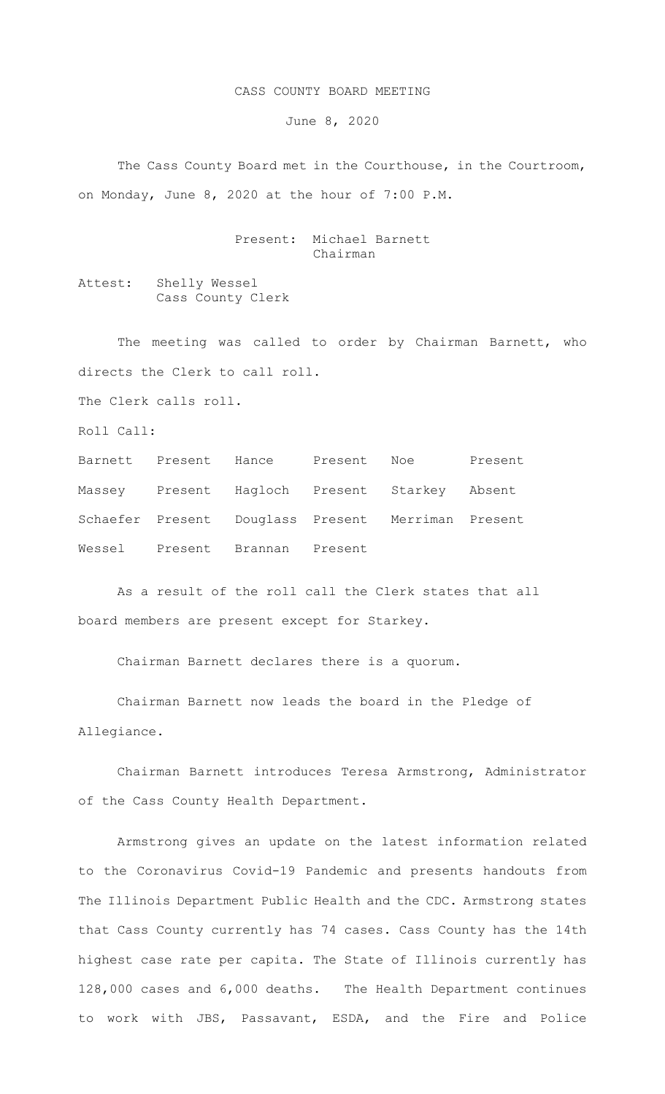## CASS COUNTY BOARD MEETING

June 8, 2020

 The Cass County Board met in the Courthouse, in the Courtroom, on Monday, June 8, 2020 at the hour of 7:00 P.M.

> Present: Michael Barnett Chairman

Attest: Shelly Wessel Cass County Clerk

The meeting was called to order by Chairman Barnett, who directs the Clerk to call roll.

The Clerk calls roll.

Roll Call:

|  |                                | Barnett Present Hance Present Noe                  | Present |
|--|--------------------------------|----------------------------------------------------|---------|
|  |                                | Massey Present Hagloch Present Starkey Absent      |         |
|  |                                | Schaefer Present Douglass Present Merriman Present |         |
|  | Wessel Present Brannan Present |                                                    |         |

As a result of the roll call the Clerk states that all board members are present except for Starkey.

Chairman Barnett declares there is a quorum.

Chairman Barnett now leads the board in the Pledge of Allegiance.

Chairman Barnett introduces Teresa Armstrong, Administrator of the Cass County Health Department.

Armstrong gives an update on the latest information related to the Coronavirus Covid-19 Pandemic and presents handouts from The Illinois Department Public Health and the CDC. Armstrong states that Cass County currently has 74 cases. Cass County has the 14th highest case rate per capita. The State of Illinois currently has 128,000 cases and 6,000 deaths. The Health Department continues to work with JBS, Passavant, ESDA, and the Fire and Police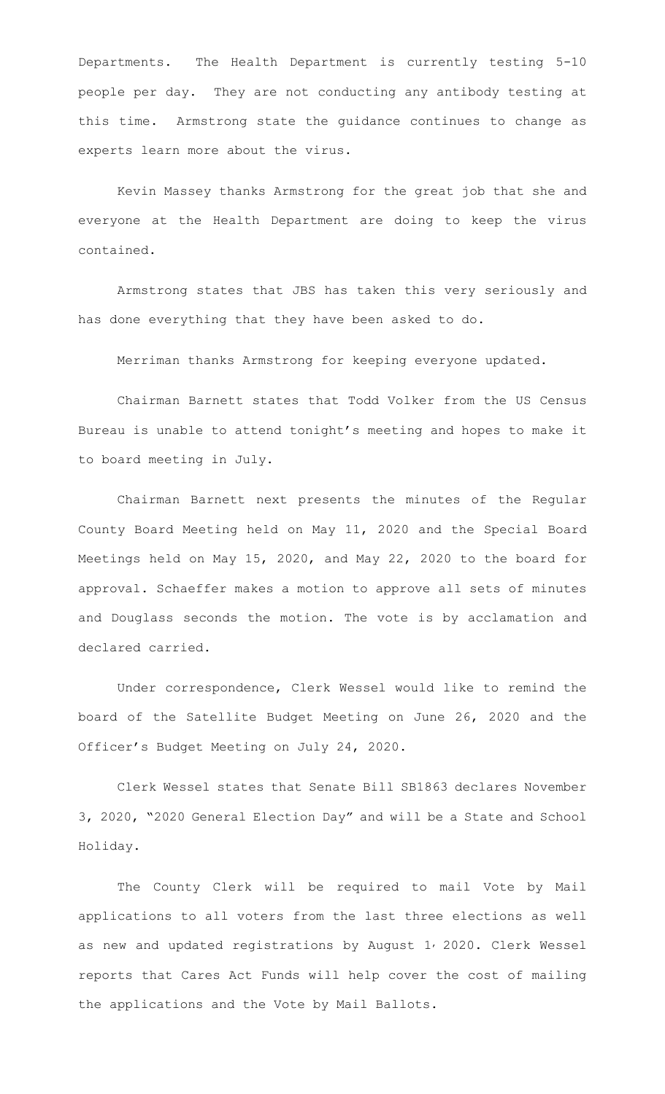Departments. The Health Department is currently testing 5-10 people per day. They are not conducting any antibody testing at this time. Armstrong state the guidance continues to change as experts learn more about the virus.

Kevin Massey thanks Armstrong for the great job that she and everyone at the Health Department are doing to keep the virus contained.

Armstrong states that JBS has taken this very seriously and has done everything that they have been asked to do.

Merriman thanks Armstrong for keeping everyone updated.

Chairman Barnett states that Todd Volker from the US Census Bureau is unable to attend tonight's meeting and hopes to make it to board meeting in July.

Chairman Barnett next presents the minutes of the Regular County Board Meeting held on May 11, 2020 and the Special Board Meetings held on May 15, 2020, and May 22, 2020 to the board for approval. Schaeffer makes a motion to approve all sets of minutes and Douglass seconds the motion. The vote is by acclamation and declared carried.

Under correspondence, Clerk Wessel would like to remind the board of the Satellite Budget Meeting on June 26, 2020 and the Officer's Budget Meeting on July 24, 2020.

Clerk Wessel states that Senate Bill SB1863 declares November 3, 2020, "2020 General Election Day" and will be a State and School Holiday.

The County Clerk will be required to mail Vote by Mail applications to all voters from the last three elections as well as new and updated registrations by August 1, 2020. Clerk Wessel reports that Cares Act Funds will help cover the cost of mailing the applications and the Vote by Mail Ballots.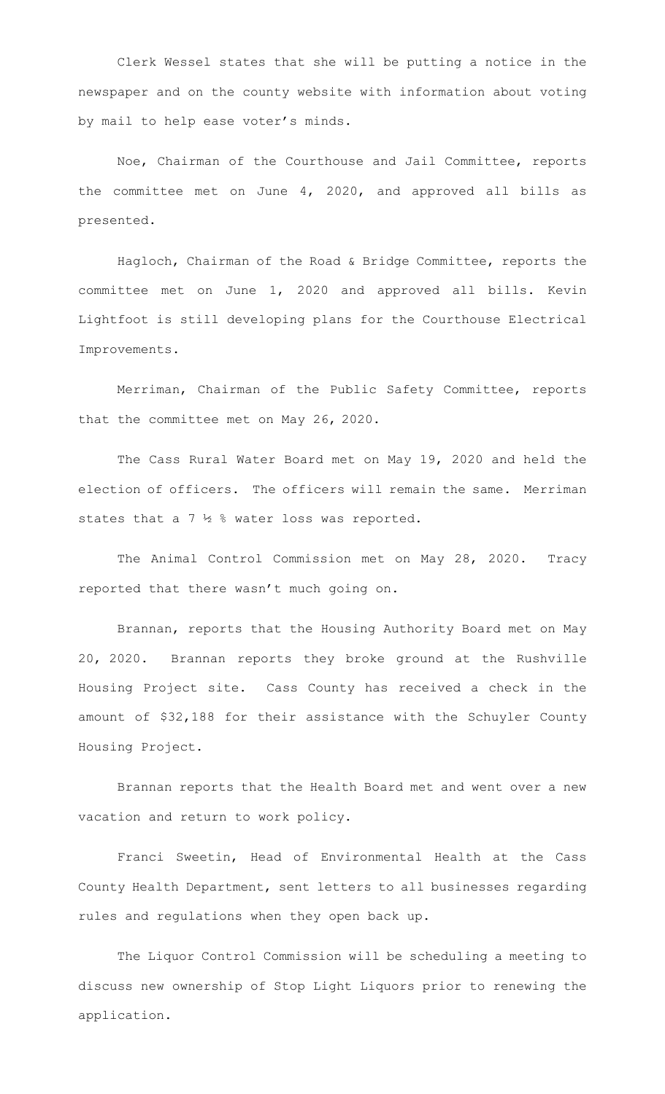Clerk Wessel states that she will be putting a notice in the newspaper and on the county website with information about voting by mail to help ease voter's minds.

Noe, Chairman of the Courthouse and Jail Committee, reports the committee met on June 4, 2020, and approved all bills as presented.

Hagloch, Chairman of the Road & Bridge Committee, reports the committee met on June 1, 2020 and approved all bills. Kevin Lightfoot is still developing plans for the Courthouse Electrical Improvements.

Merriman, Chairman of the Public Safety Committee, reports that the committee met on May 26, 2020.

The Cass Rural Water Board met on May 19, 2020 and held the election of officers. The officers will remain the same. Merriman states that a 7 ½ % water loss was reported.

The Animal Control Commission met on May 28, 2020. Tracy reported that there wasn't much going on.

Brannan, reports that the Housing Authority Board met on May 20, 2020. Brannan reports they broke ground at the Rushville Housing Project site. Cass County has received a check in the amount of \$32,188 for their assistance with the Schuyler County Housing Project.

Brannan reports that the Health Board met and went over a new vacation and return to work policy.

Franci Sweetin, Head of Environmental Health at the Cass County Health Department, sent letters to all businesses regarding rules and regulations when they open back up.

The Liquor Control Commission will be scheduling a meeting to discuss new ownership of Stop Light Liquors prior to renewing the application.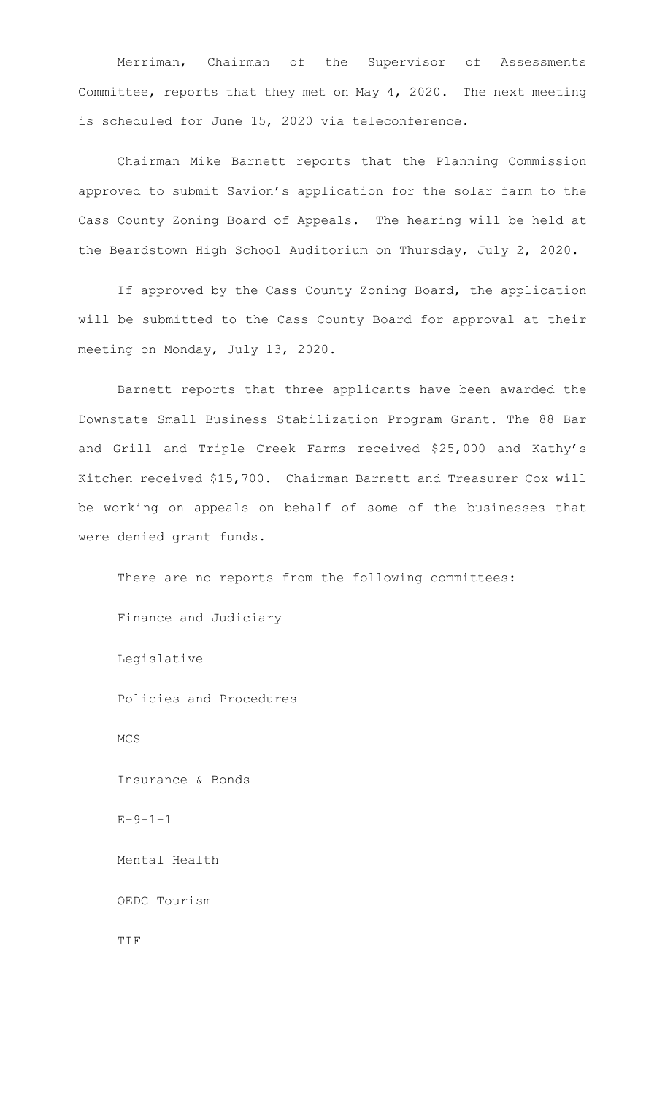Merriman, Chairman of the Supervisor of Assessments Committee, reports that they met on May 4, 2020. The next meeting is scheduled for June 15, 2020 via teleconference.

Chairman Mike Barnett reports that the Planning Commission approved to submit Savion's application for the solar farm to the Cass County Zoning Board of Appeals. The hearing will be held at the Beardstown High School Auditorium on Thursday, July 2, 2020.

If approved by the Cass County Zoning Board, the application will be submitted to the Cass County Board for approval at their meeting on Monday, July 13, 2020.

Barnett reports that three applicants have been awarded the Downstate Small Business Stabilization Program Grant. The 88 Bar and Grill and Triple Creek Farms received \$25,000 and Kathy's Kitchen received \$15,700. Chairman Barnett and Treasurer Cox will be working on appeals on behalf of some of the businesses that were denied grant funds.

There are no reports from the following committees: Finance and Judiciary Legislative Policies and Procedures MCS Insurance & Bonds  $E - 9 - 1 - 1$  Mental Health OEDC Tourism

TIF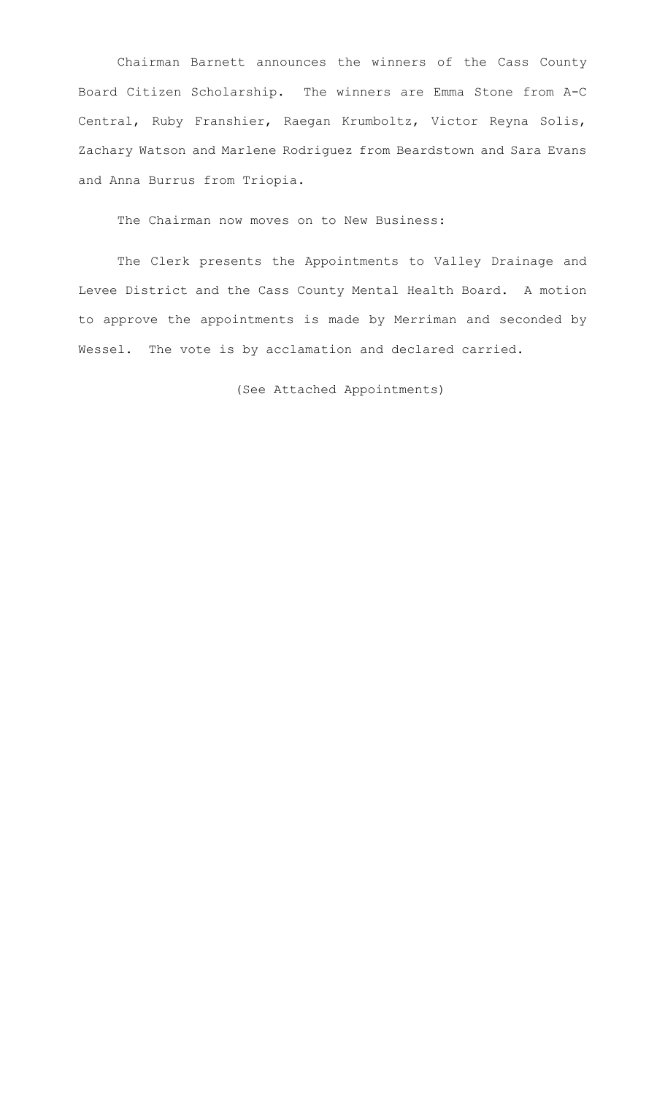Chairman Barnett announces the winners of the Cass County Board Citizen Scholarship. The winners are Emma Stone from A-C Central, Ruby Franshier, Raegan Krumboltz, Victor Reyna Solis, Zachary Watson and Marlene Rodriguez from Beardstown and Sara Evans and Anna Burrus from Triopia.

The Chairman now moves on to New Business:

 The Clerk presents the Appointments to Valley Drainage and Levee District and the Cass County Mental Health Board. A motion to approve the appointments is made by Merriman and seconded by Wessel. The vote is by acclamation and declared carried.

(See Attached Appointments)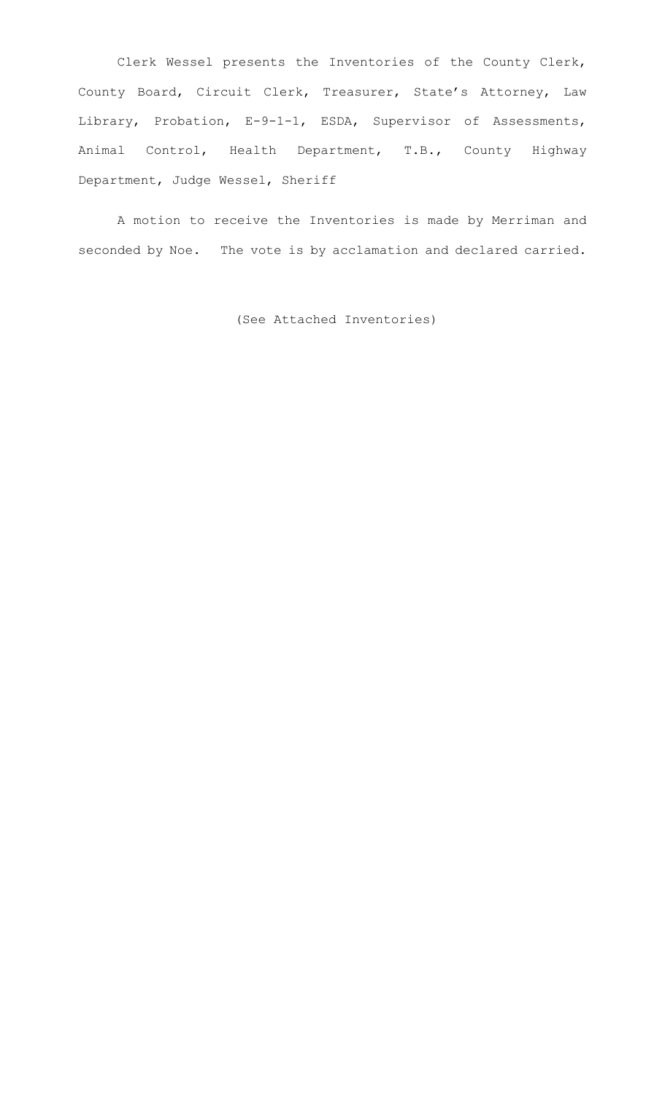Clerk Wessel presents the Inventories of the County Clerk, County Board, Circuit Clerk, Treasurer, State's Attorney, Law Library, Probation, E-9-1-1, ESDA, Supervisor of Assessments, Animal Control, Health Department, T.B., County Highway Department, Judge Wessel, Sheriff

A motion to receive the Inventories is made by Merriman and seconded by Noe. The vote is by acclamation and declared carried.

(See Attached Inventories)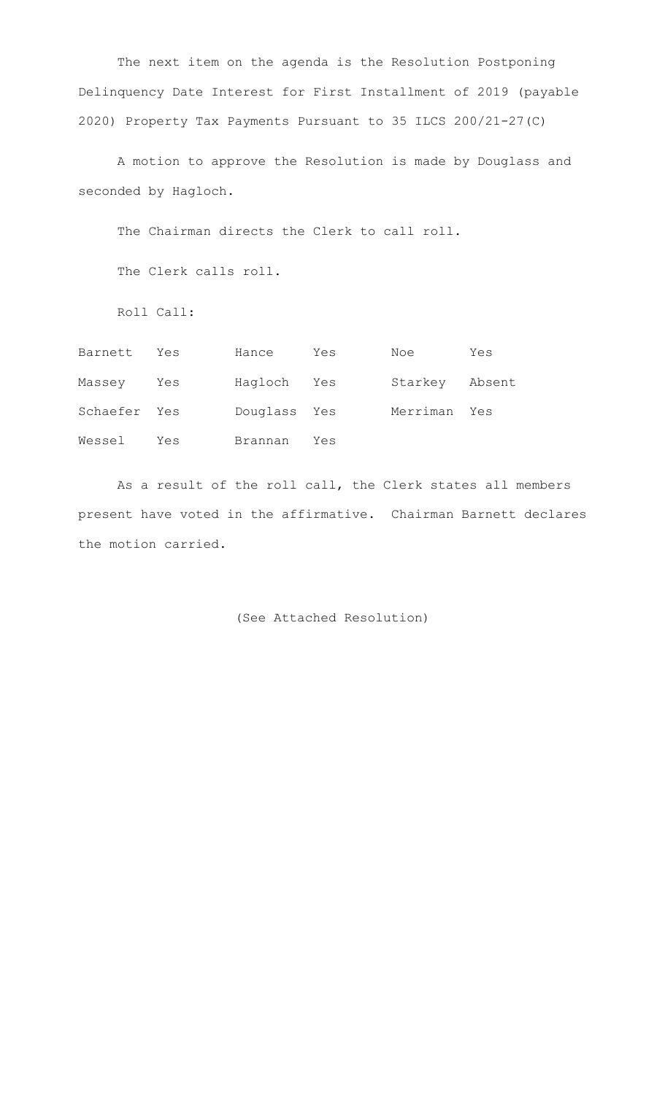The next item on the agenda is the Resolution Postponing Delinquency Date Interest for First Installment of 2019 (payable 2020) Property Tax Payments Pursuant to 35 ILCS 200/21-27(C)

A motion to approve the Resolution is made by Douglass and seconded by Hagloch.

The Chairman directs the Clerk to call roll.

The Clerk calls roll.

Roll Call:

| Barnett      | Yes | Hance        | Yes | Noe            | Yes |
|--------------|-----|--------------|-----|----------------|-----|
| Massey       | Yes | Hagloch Yes  |     | Starkey Absent |     |
| Schaefer Yes |     | Douglass Yes |     | Merriman Yes   |     |
| Wessel       | Yes | Brannan      | Yes |                |     |

 As a result of the roll call, the Clerk states all members present have voted in the affirmative. Chairman Barnett declares the motion carried.

(See Attached Resolution)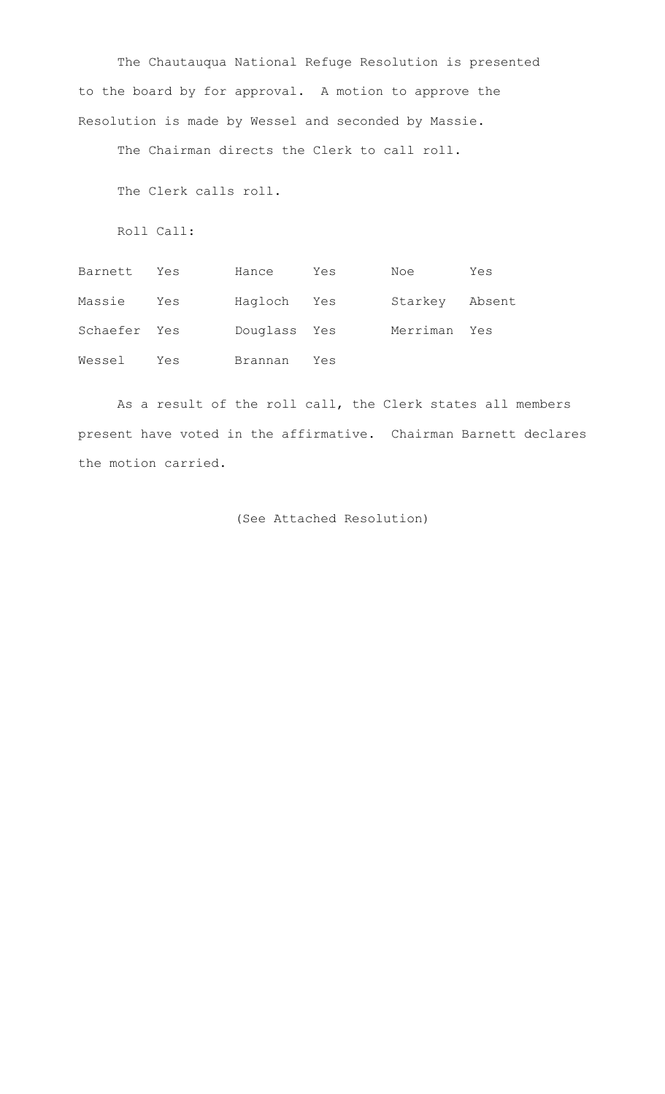The Chautauqua National Refuge Resolution is presented to the board by for approval. A motion to approve the Resolution is made by Wessel and seconded by Massie.

The Chairman directs the Clerk to call roll.

The Clerk calls roll.

Roll Call:

| Barnett Yes  |     | Hance        | Yes | Noe            | Yes |
|--------------|-----|--------------|-----|----------------|-----|
| Massie       | Yes | Hagloch Yes  |     | Starkey Absent |     |
| Schaefer Yes |     | Douglass Yes |     | Merriman Yes   |     |
| Wessel       | Yes | Brannan      | Yes |                |     |

 As a result of the roll call, the Clerk states all members present have voted in the affirmative. Chairman Barnett declares the motion carried.

```
 (See Attached Resolution)
```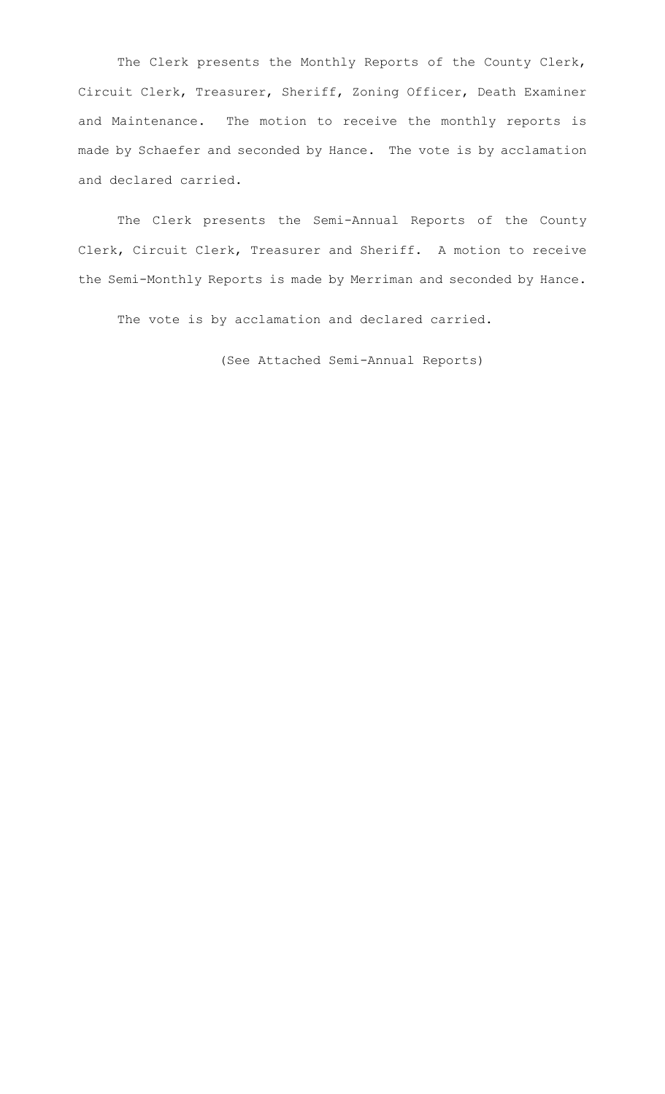The Clerk presents the Monthly Reports of the County Clerk, Circuit Clerk, Treasurer, Sheriff, Zoning Officer, Death Examiner and Maintenance. The motion to receive the monthly reports is made by Schaefer and seconded by Hance. The vote is by acclamation and declared carried.

The Clerk presents the Semi-Annual Reports of the County Clerk, Circuit Clerk, Treasurer and Sheriff. A motion to receive the Semi-Monthly Reports is made by Merriman and seconded by Hance.

The vote is by acclamation and declared carried.

(See Attached Semi-Annual Reports)